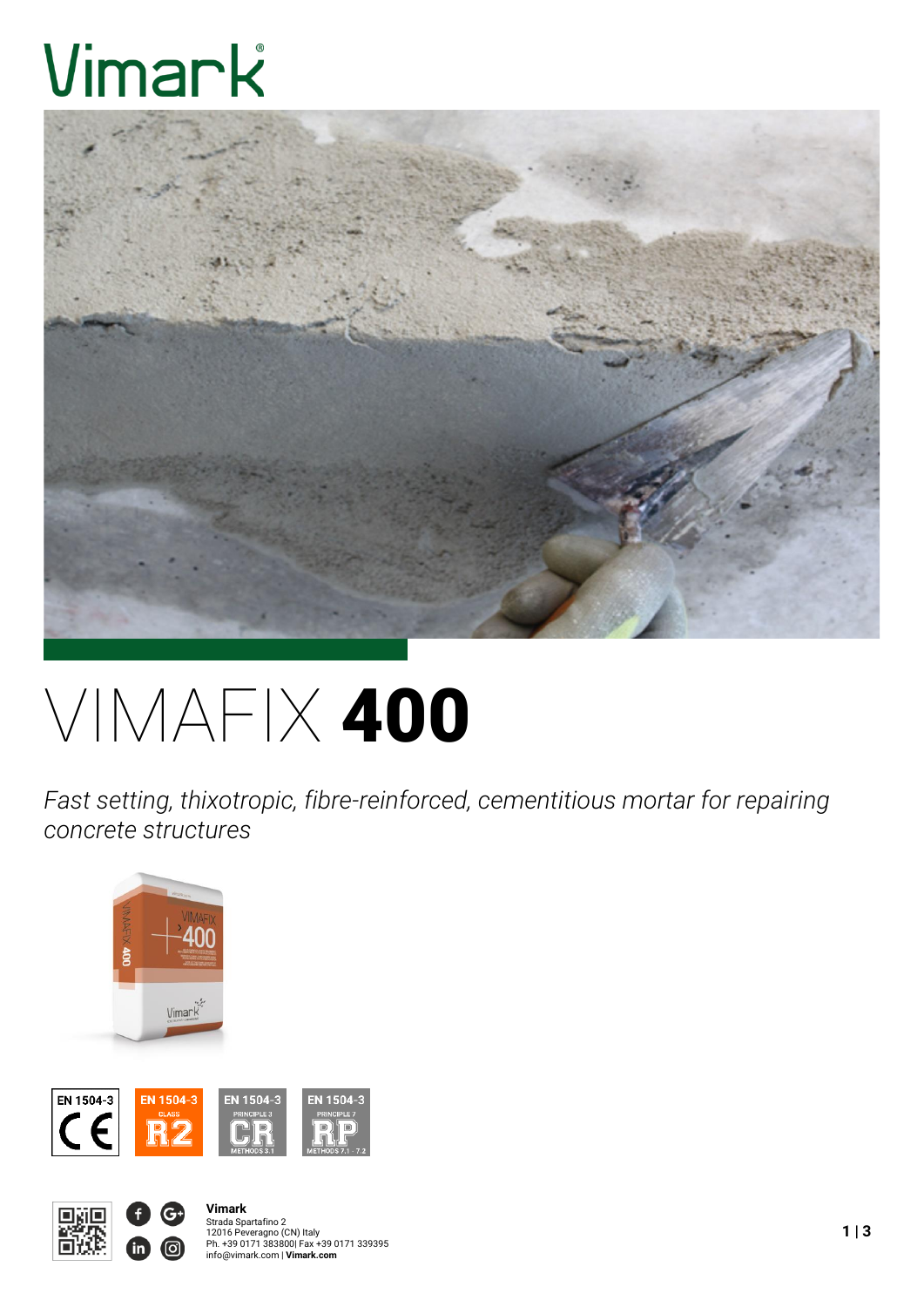# Vimark



# VIMAFIX 400

*Fast setting, thixotropic, fibre-reinforced, cementitious mortar for repairing concrete structures*







**Vimark** Strada Spartafino 2<br>12016 Peveragno (CN) Italy<br>Ph. +39 0171 383800| Fax +39 0171 339395<br>info@vimark.com | **Vimark.com**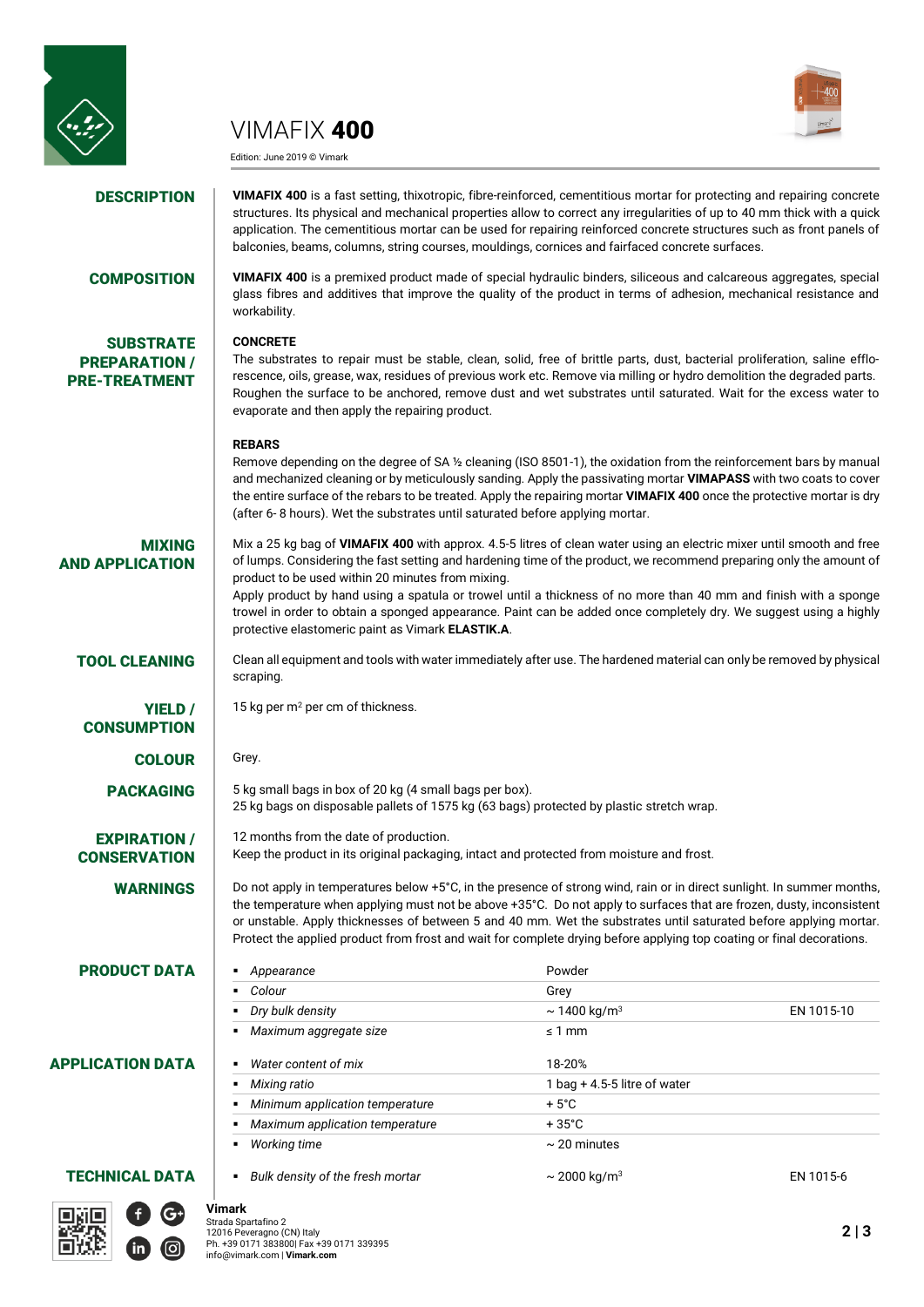

VIMAFIX 400

Edition: June 2019 © Vimark



**DESCRIPTION** VIMAFIX 400 is a fast setting, thixotropic, fibre-reinforced, cementitious mortar for protecting and repairing concrete structures. Its physical and mechanical properties allow to correct any irregularities of up to 40 mm thick with a quick application. The cementitious mortar can be used for repairing reinforced concrete structures such as front panels of balconies, beams, columns, string courses, mouldings, cornices and fairfaced concrete surfaces.

**SUBSTRATE** PREPARATION / PRE-TREATMENT

#### COMPOSITION **VIMAFIX 400** is a premixed product made of special hydraulic binders, siliceous and calcareous aggregates, special glass fibres and additives that improve the quality of the product in terms of adhesion, mechanical resistance and workability.

#### **CONCRETE**

The substrates to repair must be stable, clean, solid, free of brittle parts, dust, bacterial proliferation, saline efflorescence, oils, grease, wax, residues of previous work etc. Remove via milling or hydro demolition the degraded parts. Roughen the surface to be anchored, remove dust and wet substrates until saturated. Wait for the excess water to evaporate and then apply the repairing product.

#### **REBARS**

Remove depending on the degree of SA ½ cleaning (ISO 8501-1), the oxidation from the reinforcement bars by manual and mechanized cleaning or by meticulously sanding. Apply the passivating mortar **VIMAPASS** with two coats to cover the entire surface of the rebars to be treated. Apply the repairing mortar **VIMAFIX 400** once the protective mortar is dry (after 6- 8 hours). Wet the substrates until saturated before applying mortar.

MIXING AND APPLICATION Mix a 25 kg bag of **VIMAFIX 400** with approx. 4.5-5 litres of clean water using an electric mixer until smooth and free of lumps. Considering the fast setting and hardening time of the product, we recommend preparing only the amount of product to be used within 20 minutes from mixing.

Apply product by hand using a spatula or trowel until a thickness of no more than 40 mm and finish with a sponge trowel in order to obtain a sponged appearance. Paint can be added once completely dry. We suggest using a highly protective elastomeric paint as Vimark **ELASTIK.A**.

TOOL CLEANING Clean all equipment and tools with water immediately after use. The hardened material can only be removed by physical scraping.

> the temperature when applying must not be above +35°C. Do not apply to surfaces that are frozen, dusty, inconsistent or unstable. Apply thicknesses of between 5 and 40 mm. Wet the substrates until saturated before applying mortar. Protect the applied product from frost and wait for complete drying before applying top coating or final decorations.

*Dry bulk density* ~ 1400 kg/m<sup>3</sup> EN 1015-10

25 kg bags on disposable pallets of 1575 kg (63 bags) protected by plastic stretch wrap.

Keep the product in its original packaging, intact and protected from moisture and frost.

*Mixing ratio* 1 bag + 4.5-5 litre of water

15 kg per  $m<sup>2</sup>$  per cm of thickness.

12 months from the date of production.

**Colour** Grey Grey

■ *Maximum aggregate size* serve and server a server and server and server and server and server and server and server and server and server and server and server and server and server and server and server and server and

**Minimum application temperature** + 5°C *Maximum application temperature* + 35°C *Working time* ~ 20 minutes

COLOUR Grey.

**PACKAGING**  $\begin{bmatrix} 5 \text{ kg small bags in box of 20 kg (4 small bags per box)}$ .

**CONSUMPTION** 

YIELD /

## EXPIRATION / **CONSERVATION**

**WARNINGS** Do not apply in temperatures below  $+5^{\circ}$ C, in the presence of strong wind, rain or in direct sunlight. In summer months,

#### **PRODUCT DATA** *appearance* Powder

### APPLICATION DATA *Water content of mix* 18-20%



#### **Vimark** Strada Spartafino 2 12016 Peveragno (CN) Italy Ph. +39 0171 383800| Fax +39 0171 339395 info@vimark.com | **Vimark.com**

**TECHNICAL DATA** *Bulk density of the fresh mortar* $\sim 2000 \text{ kg/m}^3$  **EN 1015-6**